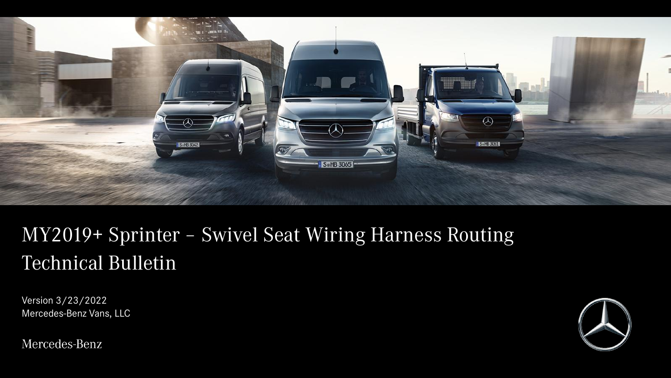

# MY2019+ Sprinter – Swivel Seat Wiring Harness Routing Technical Bulletin

Version 3/23/2022 Mercedes-Benz Vans, LLC

Mercedes-Benz

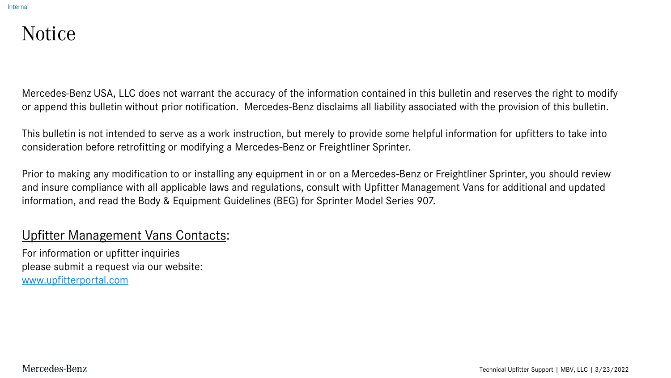#### Notice

Mercedes-Benz USA, LLC does not warrant the accuracy of the information contained in this bulletin and reserves the right to modify or append this bulletin without prior notification. Mercedes-Benz disclaims all liability associated with the provision of this bulletin.

This bulletin is not intended to serve as a work instruction, but merely to provide some helpful information for upfitters to take into consideration before retrofitting or modifying a Mercedes-Benz or Freightliner Sprinter.

Prior to making any modification to or installing any equipment in or on a Mercedes-Benz or Freightliner Sprinter, you should review and insure compliance with all applicable laws and regulations, consult with Upfitter Management Vans for additional and updated information, and read the Body & Equipment Guidelines (BEG) for Sprinter Model Series 907.

#### Upfitter Management Vans Contacts:

For information or upfitter inquiries please submit a request via our website: [www.upfitterportal.com](http://www.upfitterportalcom/)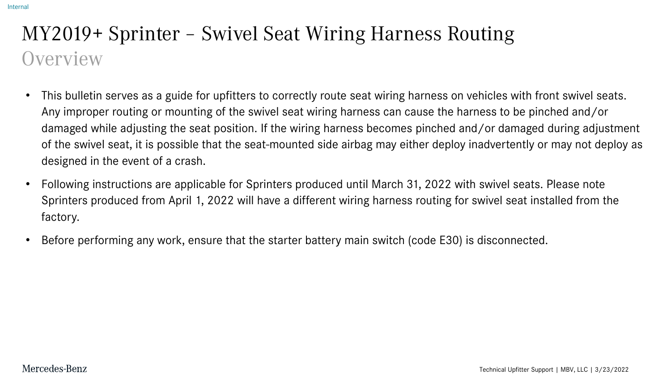# MY2019+ Sprinter – Swivel Seat Wiring Harness Routing **Overview**

- This bulletin serves as a guide for upfitters to correctly route seat wiring harness on vehicles with front swivel seats. Any improper routing or mounting of the swivel seat wiring harness can cause the harness to be pinched and/or damaged while adjusting the seat position. If the wiring harness becomes pinched and/or damaged during adjustment of the swivel seat, it is possible that the seat-mounted side airbag may either deploy inadvertently or may not deploy as designed in the event of a crash.
- Following instructions are applicable for Sprinters produced until March 31, 2022 with swivel seats. Please note Sprinters produced from April 1, 2022 will have a different wiring harness routing for swivel seat installed from the factory.
- Before performing any work, ensure that the starter battery main switch (code E30) is disconnected.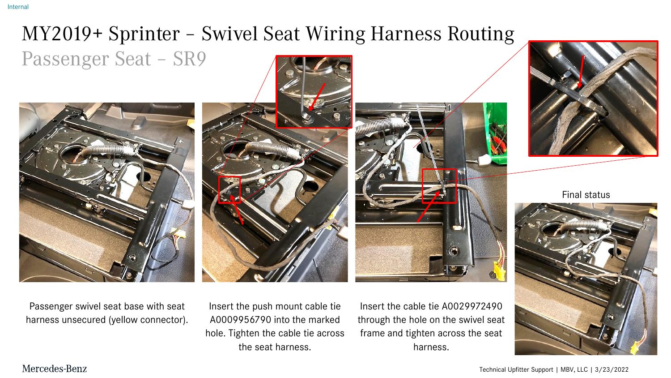# MY2019+ Sprinter – Swivel Seat Wiring Harness Routing Passenger Seat – SR9



Passenger swivel seat base with seat harness unsecured (yellow connector).

Insert the push mount cable tie A0009956790 into the marked hole. Tighten the cable tie across the seat harness.

Insert the cable tie A0029972490 through the hole on the swivel seat frame and tighten across the seat harness.



Final status



Technical Upfitter Support | MBV, LLC | 3/23/2022

#### Mercedes-Benz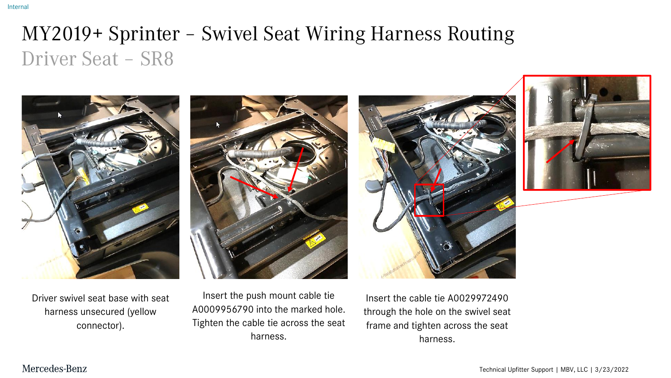#### MY2019+ Sprinter – Swivel Seat Wiring Harness Routing Driver Seat – SR8



Driver swivel seat base with seat harness unsecured (yellow connector).

Insert the push mount cable tie A0009956790 into the marked hole. Tighten the cable tie across the seat harness.

Insert the cable tie A0029972490 through the hole on the swivel seat frame and tighten across the seat harness.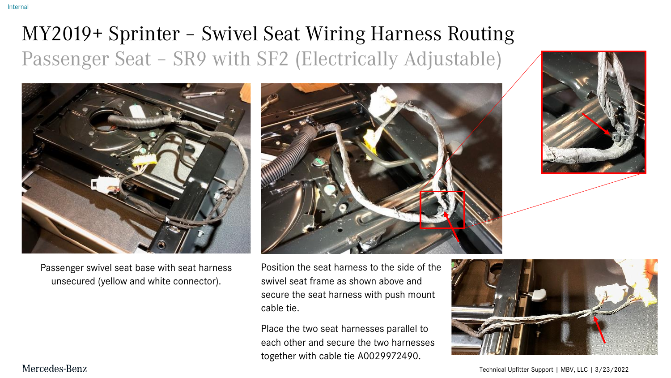# MY2019+ Sprinter – Swivel Seat Wiring Harness Routing Passenger Seat – SR9 with SF2 (Electrically Adjustable)



Passenger swivel seat base with seat harness unsecured (yellow and white connector).





Position the seat harness to the side of the swivel seat frame as shown above and secure the seat harness with push mount cable tie.

Place the two seat harnesses parallel to each other and secure the two harnesses together with cable tie A0029972490.



Technical Upfitter Support | MBV, LLC | 3/23/2022

#### Mercedes-Benz